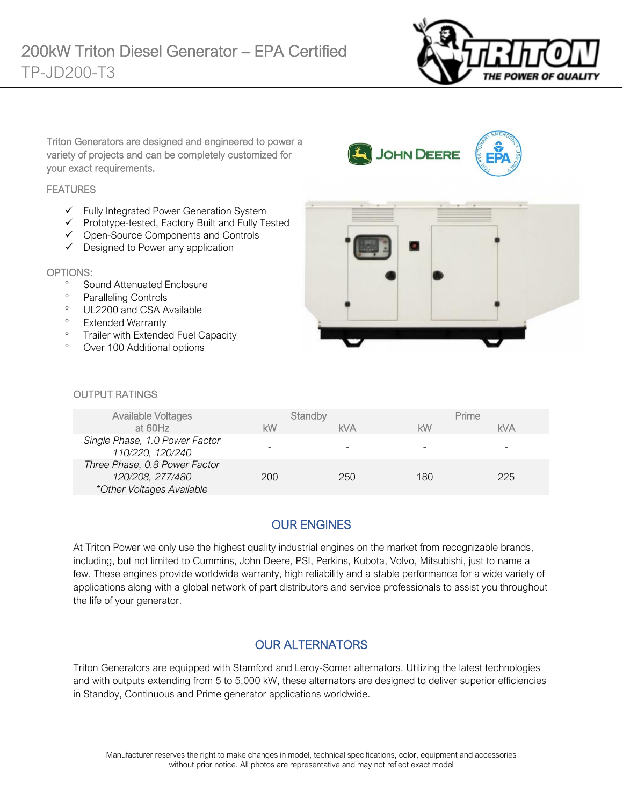

Triton Generators are designed and engineered to power a variety of projects and can be completely customized for your exact requirements.

#### **FEATURES**

- ✓ Fully Integrated Power Generation System
- ✓ Prototype-tested, Factory Built and Fully Tested
- ✓ Open-Source Components and Controls
- ✓ Designed to Power any application

#### OPTIONS:

- <sup>o</sup> Sound Attenuated Enclosure
- <sup>o</sup> Paralleling Controls
- <sup>o</sup> UL2200 and CSA Available
- <sup>o</sup> Extended Warranty
- <sup>o</sup> Trailer with Extended Fuel Capacity
- Over 100 Additional options



JOHN DEERE

#### OUTPUT RATINGS

| <b>Available Voltages</b>                                                      | Standby |     | Prime |            |
|--------------------------------------------------------------------------------|---------|-----|-------|------------|
| at 60Hz                                                                        | kW      | kVA | kW    | <b>kVA</b> |
| Single Phase, 1.0 Power Factor<br>110/220, 120/240                             |         |     |       | -          |
| Three Phase, 0.8 Power Factor<br>120/208, 277/480<br>*Other Voltages Available | 200     | 250 | 180   | 225        |

# OUR ENGINES

At Triton Power we only use the highest quality industrial engines on the market from recognizable brands, including, but not limited to Cummins, John Deere, PSI, Perkins, Kubota, Volvo, Mitsubishi, just to name a few. These engines provide worldwide warranty, high reliability and a stable performance for a wide variety of applications along with a global network of part distributors and service professionals to assist you throughout the life of your generator.

# OUR ALTERNATORS

Triton Generators are equipped with Stamford and Leroy-Somer alternators. Utilizing the latest technologies and with outputs extending from 5 to 5,000 kW, these alternators are designed to deliver superior efficiencies in Standby, Continuous and Prime generator applications worldwide.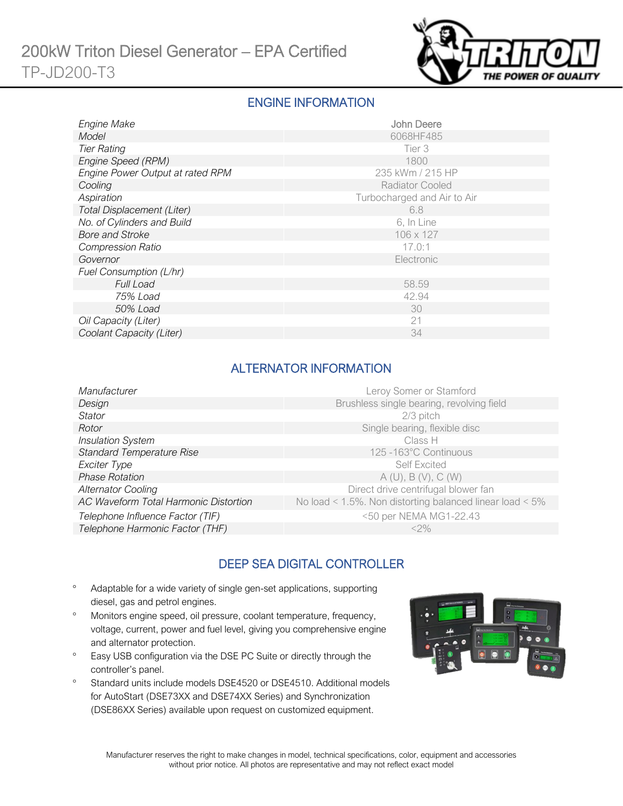

#### ENGINE INFORMATION

| Engine Make                      | <b>John Deere</b>           |
|----------------------------------|-----------------------------|
| Model                            | 6068HF485                   |
| <b>Tier Rating</b>               | Tier 3                      |
| Engine Speed (RPM)               | 1800                        |
| Engine Power Output at rated RPM | 235 kWm / 215 HP            |
| Cooling                          | <b>Radiator Cooled</b>      |
| Aspiration                       | Turbocharged and Air to Air |
| Total Displacement (Liter)       | 6.8                         |
| No. of Cylinders and Build       | 6, In Line                  |
| <b>Bore and Stroke</b>           | 106 x 127                   |
| <b>Compression Ratio</b>         | 17.0:1                      |
| Governor                         | Electronic                  |
| Fuel Consumption (L/hr)          |                             |
| <b>Full Load</b>                 | 58.59                       |
| 75% Load                         | 42.94                       |
| 50% Load                         | 30                          |
| Oil Capacity (Liter)             | 21                          |
| Coolant Capacity (Liter)         | 34                          |

# ALTERNATOR INFORMATION

| Manufacturer                          | Leroy Somer or Stamford                                         |
|---------------------------------------|-----------------------------------------------------------------|
| Design                                | Brushless single bearing, revolving field                       |
| Stator                                | 2/3 pitch                                                       |
| Rotor                                 | Single bearing, flexible disc                                   |
| <b>Insulation System</b>              | Class H                                                         |
| <b>Standard Temperature Rise</b>      | 125 -163°C Continuous                                           |
| Exciter Type                          | <b>Self Excited</b>                                             |
| <b>Phase Rotation</b>                 | A(U), B(V), C(W)                                                |
| <b>Alternator Cooling</b>             | Direct drive centrifugal blower fan                             |
| AC Waveform Total Harmonic Distortion | No load < $1.5\%$ . Non distorting balanced linear load < $5\%$ |
| Telephone Influence Factor (TIF)      | <50 per NEMA MG1-22.43                                          |
| Telephone Harmonic Factor (THF)       | $<$ 2%                                                          |
|                                       |                                                                 |

# DEEP SEA DIGITAL CONTROLLER

- Adaptable for a wide variety of single gen-set applications, supporting diesel, gas and petrol engines.
- Monitors engine speed, oil pressure, coolant temperature, frequency, voltage, current, power and fuel level, giving you comprehensive engine and alternator protection.
- <sup>o</sup> Easy USB configuration via the DSE PC Suite or directly through the controller's panel.
- <sup>o</sup> Standard units include models DSE4520 or DSE4510. Additional models for AutoStart (DSE73XX and DSE74XX Series) and Synchronization (DSE86XX Series) available upon request on customized equipment.

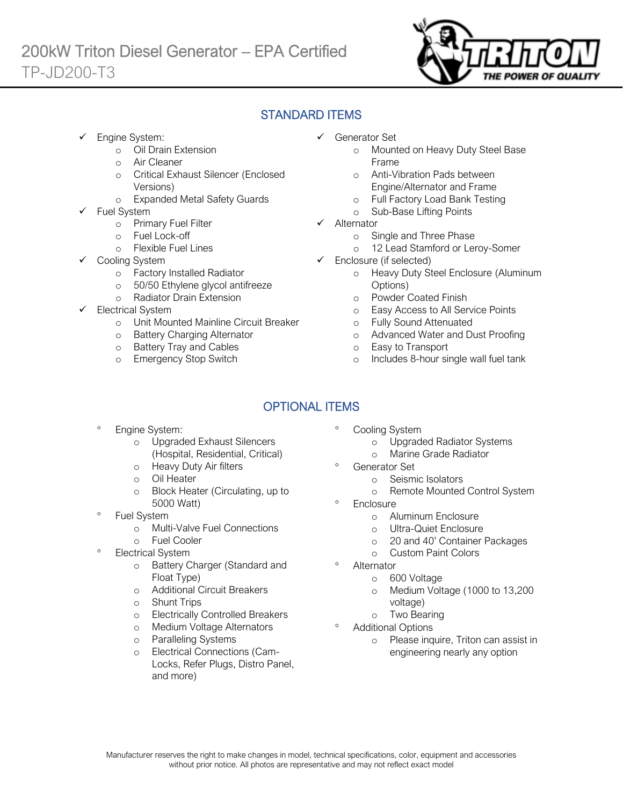

# STANDARD ITEMS

Engine System:

Ī

- o Oil Drain Extension
- o Air Cleaner
- o Critical Exhaust Silencer (Enclosed Versions)
- o Expanded Metal Safety Guards
- Fuel System
	- o Primary Fuel Filter
	- o Fuel Lock-off
		- o Flexible Fuel Lines
	- Cooling System
		- o Factory Installed Radiator
		- o 50/50 Ethylene glycol antifreeze
		- o Radiator Drain Extension
- Electrical System
	- o Unit Mounted Mainline Circuit Breaker
	- o Battery Charging Alternator
	- o Battery Tray and Cables
	- o Emergency Stop Switch
- ✓ Generator Set
	- o Mounted on Heavy Duty Steel Base Frame
	- o Anti-Vibration Pads between Engine/Alternator and Frame
	- o Full Factory Load Bank Testing
	- o Sub-Base Lifting Points
- ✓ Alternator
	- o Single and Three Phase
	- o 12 Lead Stamford or Leroy-Somer
- ✓ Enclosure (if selected)
	- o Heavy Duty Steel Enclosure (Aluminum Options)
	- o Powder Coated Finish
	- o Easy Access to All Service Points
	- o Fully Sound Attenuated
	- o Advanced Water and Dust Proofing
	- o Easy to Transport
	- o Includes 8-hour single wall fuel tank

# OPTIONAL ITEMS

- Engine System:
	- o Upgraded Exhaust Silencers (Hospital, Residential, Critical)
	- o Heavy Duty Air filters
	- o Oil Heater
	- o Block Heater (Circulating, up to 5000 Watt)
- Fuel System
	- o Multi-Valve Fuel Connections
	- o Fuel Cooler
- Electrical System
	- o Battery Charger (Standard and Float Type)
	- o Additional Circuit Breakers
	- o Shunt Trips
	- o Electrically Controlled Breakers
	- o Medium Voltage Alternators
	- o Paralleling Systems
	- o Electrical Connections (Cam-Locks, Refer Plugs, Distro Panel, and more)
- Cooling System
	- o Upgraded Radiator Systems
	- o Marine Grade Radiator
	- Generator Set
		- o Seismic Isolators
		- o Remote Mounted Control System
- **Enclosure** 
	- o Aluminum Enclosure
	- o Ultra-Quiet Enclosure
	- o 20 and 40' Container Packages
	- o Custom Paint Colors
- Alternator
	- o 600 Voltage
	- o Medium Voltage (1000 to 13,200 voltage)
	- o Two Bearing
- Additional Options
	- o Please inquire, Triton can assist in engineering nearly any option